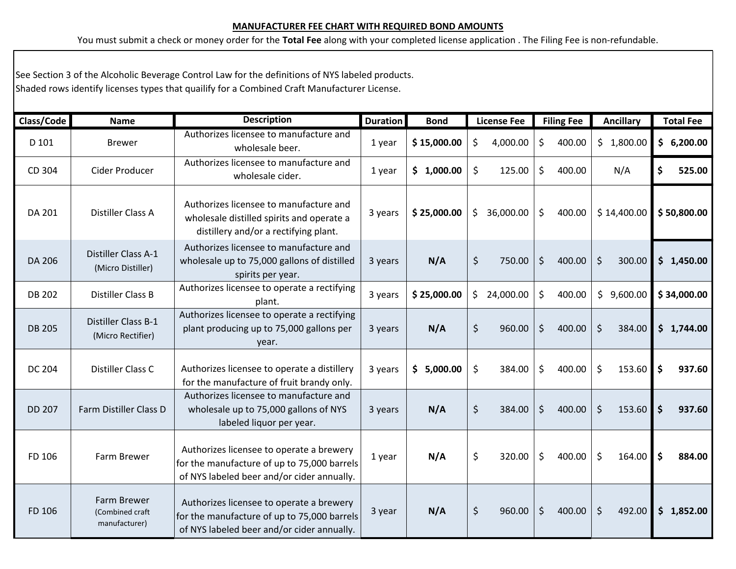## **MANUFACTURER FEE CHART WITH REQUIRED BOND AMOUNTS**

You must submit a check or money order for the **Total Fee** along with your completed license application . The Filing Fee is non-refundable.

See Section 3 of the Alcoholic Beverage Control Law for the definitions of NYS labeled products. Shaded rows identify licenses types that quailify for a Combined Craft Manufacturer License.

| Class/Code    | <b>Name</b>                                     | <b>Description</b>                                                                                                                    | <b>Duration</b> | <b>Bond</b> | <b>License Fee</b> | <b>Filing Fee</b> | <b>Ancillary</b>  | <b>Total Fee</b> |
|---------------|-------------------------------------------------|---------------------------------------------------------------------------------------------------------------------------------------|-----------------|-------------|--------------------|-------------------|-------------------|------------------|
| D 101         | <b>Brewer</b>                                   | Authorizes licensee to manufacture and<br>wholesale beer.                                                                             | 1 year          | \$15,000.00 | \$<br>4,000.00     | \$<br>400.00      | \$1,800.00        | 6,200.00<br>\$   |
| CD 304        | Cider Producer                                  | Authorizes licensee to manufacture and<br>wholesale cider.                                                                            | 1 year          | \$1,000.00  | \$<br>125.00       | \$<br>400.00      | N/A               | \$<br>525.00     |
| DA 201        | Distiller Class A                               | Authorizes licensee to manufacture and<br>wholesale distilled spirits and operate a<br>distillery and/or a rectifying plant.          | 3 years         | \$25,000.00 | \$<br>36,000.00    | \$<br>400.00      | \$14,400.00       | \$50,800.00      |
| DA 206        | Distiller Class A-1<br>(Micro Distiller)        | Authorizes licensee to manufacture and<br>wholesale up to 75,000 gallons of distilled<br>spirits per year.                            | 3 years         | N/A         | \$<br>750.00       | \$<br>400.00      | \$<br>300.00      | \$<br>1,450.00   |
| <b>DB 202</b> | Distiller Class B                               | Authorizes licensee to operate a rectifying<br>plant.                                                                                 | 3 years         | \$25,000.00 | \$<br>24,000.00    | \$<br>400.00      | \$9,600.00        | \$34,000.00      |
| <b>DB 205</b> | Distiller Class B-1<br>(Micro Rectifier)        | Authorizes licensee to operate a rectifying<br>plant producing up to 75,000 gallons per<br>year.                                      | 3 years         | N/A         | \$<br>960.00       | $\zeta$<br>400.00 | $\zeta$<br>384.00 | \$<br>1,744.00   |
| <b>DC 204</b> | Distiller Class C                               | Authorizes licensee to operate a distillery<br>for the manufacture of fruit brandy only.                                              | 3 years         | \$5,000.00  | \$<br>384.00       | \$<br>400.00      | \$<br>153.60      | \$<br>937.60     |
| <b>DD 207</b> | Farm Distiller Class D                          | Authorizes licensee to manufacture and<br>wholesale up to 75,000 gallons of NYS<br>labeled liquor per year.                           | 3 years         | N/A         | \$<br>384.00       | \$<br>400.00      | $\zeta$<br>153.60 | \$<br>937.60     |
| FD 106        | Farm Brewer                                     | Authorizes licensee to operate a brewery<br>for the manufacture of up to 75,000 barrels<br>of NYS labeled beer and/or cider annually. | 1 year          | N/A         | \$<br>320.00       | \$<br>400.00      | \$<br>164.00      | \$<br>884.00     |
| FD 106        | Farm Brewer<br>(Combined craft<br>manufacturer) | Authorizes licensee to operate a brewery<br>for the manufacture of up to 75,000 barrels<br>of NYS labeled beer and/or cider annually. | 3 year          | N/A         | \$<br>960.00       | \$<br>400.00      | $\zeta$<br>492.00 | \$<br>1,852.00   |